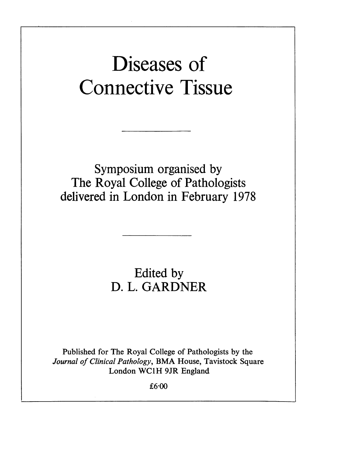# Diseases of Connective Tissue

Symposium organised by The Royal College of Pathologists delivered in London in February 1978

## Edited by D. L. GARDNER

Published for The Royal College of Pathologists by the Journal of Clinical Pathology, BMA House, Tavistock Square London WCLH 9JR England

£6-00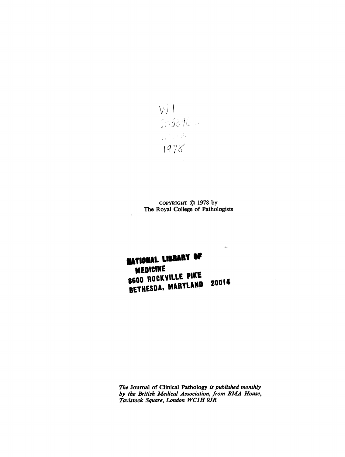$\frac{V}{\sqrt{2}}\frac{1}{\sqrt{2}}\frac{1}{\sqrt{2}}$  $\mathcal{W}^{\mathcal{A}}$  , i.e. 1978

COPYRIGHT (© 1978 by The Royal College of Pathologists

بير

# NATIONAL LIBRARY OF 8600 BOCKVILLE PIKE BETHESDA, MARYLAND 20014

The Journal of Clinical Pathology is published monthly by the British Medical Association, from BMA House, Tavistock Square, London WCIH 9JR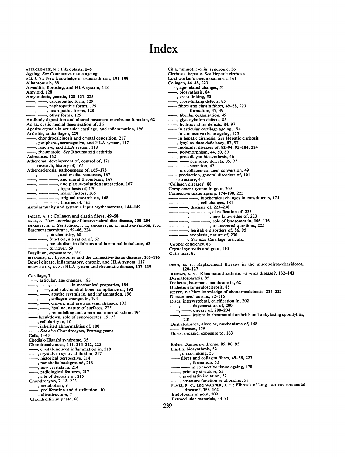### Index

ABERCROMBIE, M.: Fibroblasts, 1-6 Ageing. See Connective tissue ageing ALI, S. Y.: New knowledge of osteoarthrosis, 191-199 Alkaptonuria, 88 Alveolitis, fibrosing, and HLA system, <sup>118</sup> Amyloid, 128 Amyloidosis, genetic, 128-131, 225 -, -, cardiopathic form, 129 nephropathic forms, 129  $-$ ,  $-$ , neuropathic forms, 128 -, other forms, 129 Antibody deposition and altered basement membrane function, 62 Aorta, cystic medial degeneration of, 36 Apatite crystals in articular cartilage, and inflammation, 196 Arthritis, anticollagen, 229 -, chondrocalcinosis and crystal deposition, 217 -, peripheral, seronegative, and HLA system, 117 -, reactive, and HLA system, 118 , rheumatoid. See Rheumatoid arthritis Asbestosis, 162 Atheroma, development of, control of, 171 -research, history of, <sup>165</sup> Atherosclerosis, pathogenesis of, 165-173 -, , and medial weakness, <sup>167</sup> -, and mural thrombosis, <sup>167</sup> -, and plaque-pulsation interaction, 167  $-$ ,  $-$  hypothesis of, 170 ---, major factors, 166  $-$ ,  $-$  original research on, 168 -, theories of, 165 Autoimmunity and systemic lupus erythematosus, 144-149 BAILEY, A. J.: Collagen and elastin fibres, 49-58 BALL, J.: New knowledge of intervertebral disc disease, 200-204 BARRETT, M. C. See SLOPER, J. C., BARRETT, M. C., and PARTRIDGE, T. A. Basement membrane, 59-66, 224 , biochemistry, 60 -, function, alteration of, 62 --, metabolism in diabetes and hormonal imbalance, 62 -, turnover, 59 Beryllium, exposure to, 164 BITENSKY, L.: Lysosomes and the connective-tissue diseases, 105-116 Bowel disease, inflammatory, chronic, and HLA system, <sup>117</sup> BREWERTON, D. A.: HLA system and rheumatic disease, 117-119 Cartilage, 7  $-$ , articular, age changes, 183 - in mechanical properties, 184  $-$ ,  $-$ , and subchondral bone, compliance of, 192  $-$ ,  $-$ , apatite crystals in, and inflammation, 196 -, -, collagen changes in, 194  $-$ ,  $-$ , enzyme and proteoglycan changes, 193 -, -, hyaline, nature of surfaces, 225 -, remodelling and abnormal mineralisation, 194 -breakdown, role of synoviocytes, 19, <sup>23</sup> , cellularity in, 10 -, inherited abnormalities of, 100 ..<br>See also Chondrocytes, Proteoglycans Cells, 1-43 Chediak-Higashi syndrome, 35 Chondrocalcinosis, 111, 214-222, 225 -, crystal-induced inflammation in, <sup>218</sup> , crystals in synovial fluid in, 217 , historical perspective, 214 , metabolic background, 216 , new crystals in, 214 , radiological features, 217 —, site of deposits in, 215<br>Chondrocytes, 7–13, 223 , metabolism, 9 proliferation and distribution, 10 -, ultrastructure, <sup>7</sup> Chondroitin sulphate, 68

Cilia, 'immotile-cilia' syndrome, 36 Cirrhosis, hepatic. See Hepatic cirrhosis Coal worker's pneumoconiosis, 161 Collagen, 44-48, 223 -, age-related changes, <sup>51</sup> , biosynthesis, 84 -, cross-linking, <sup>50</sup> -, cross-linking defects, <sup>85</sup> fibres and elastin fibres, 49-58, 223 -, formation, 47, <sup>49</sup> -, fibrillar organisation, 49 glycosylation defects, 85 , hydroxylation defects, 84, 97 - in articular cartilage ageing, 194 - in connective tissue ageing, 175 - in hepatic cirrhosis. See Hepatic cirrhosis lysyl oxidase deficiency, 87, 97 molecule, diseases of, 82-94, 95-104, 224 -, polymorphism, 44, 50, <sup>89</sup> -, procollagen biosynthesis, 46 ---, procollagen blosynthesis, 46<br>---, ---- secretion, 47<br>---, mocollagen-collagen conversi-, procollagen-collagen conversion, 49 production, general disorders of, 101 structure, 44 'Collagen diseases', 88 Complement system in gout, 209 Connective tissue ageing, 174-190, 225 - - , biochemical changes in constituents, 175  $-$ , cell changes, 181  $--$ , diseases of, 223-238  $-$ —, — —, classification of, 233<br>— —, — —, new knowledge of, 223  $-\frac{1}{2}$ ,  $-\frac{1}{2}$ , new knowledge of, 223<br> $-\frac{1}{2}$ ,  $-\frac{1}{2}$ , new knowledge of, 223<br> $-\frac{1}{2}$ ,  $-\frac{1}{2}$ , note of lysosomes in, 105-116  $--$ , heritable disorders of, 86, 95 neoplasia, nature of, 230 See also Cartilage, articular Copper deficiency, 86 Crystal synovitis and gout, 110 Cutis laxa, 88 DEAN, M. F.: Replacement therapy in the mucopolysaccharidoses, 120-127 DENMAN, A. M.: Rheumatoid arthritis-a virus disease?, 132-143 Dermatosparaxis, 85 Diabetes, basement membrane in, 62 Diabetic glomerulosclerosis, 85 DIEPPE, P.: New knowledge of chondrocalcinosis, 214-222 Disease mechanisms, 82-116 Discs, intervertebral, calcification in, 202 -, degeneration of, 200  $-$ , disease of, 200-204 -, lesions in rheumatoid arthritis and ankylosing spondylitis, 201 Dust clearance, alveolar, mechanisms of, 158 -diseases, <sup>159</sup> Dusts, organic, exposure to, 163 Ehlers-Danlos syndrome, 85, 86, 95 Elastin, biosynthesis, 52

-, cross-linking, <sup>53</sup> fibres and collagen fibres, 49–58, 223<br>  $\frac{1}{\sqrt{5}}$  fibres and collagen fibres, 49–58, 223<br>  $\frac{1}{\sqrt{5}}$ , formation, 52

- in connective tissue ageing, 178

, primary structure, 53

-, proelastin isolation, <sup>52</sup>

-, structure-function relationship, <sup>55</sup>

ELMES, P. C., and WAGNER, J. C.: Fibrosis of lung-an environmental disease?, 158-164 Endotoxins in gout, 209

Extracellular materials, 44-81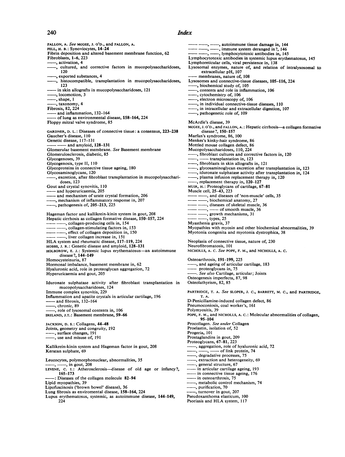#### 240 Index

FALLON, A. See MCGEE, J. O'D., and FALLON, A. FELL, H. B.: Synoviocytes, 14-24 Fibrin deposition and altered basement membrane function, 62 Fibroblasts, 1-6, 223 -, activation, <sup>4</sup> , cultured, and corrective factors in mucopolysaccharidoses, 120 -, exported substances, <sup>4</sup> , histocompatible, transplantation in mucopolysaccharidoses, 123 -in skin allografts in mucopolysaccharidoses, <sup>121</sup> -, locomotion, <sup>3</sup>  $-$ , shape,  $1$ -, taxonomy, <sup>4</sup> Fibrosis, 82, 224 -and inflammation, 132-164 - of lung as environmental disease, 158-164, <sup>224</sup> Floppy mitral valve syndrome, 85 GARDNER, D. L.: Diseases of connective tissue: a consensus, 223-238 Gaucher's disease, <sup>1</sup> 10 Genetic disease, 117-131 - and amyloid, 128-131 Glomerular basement membrane. See Basement membrane Glomerulosclerosis, diabetic, 85 Glycogenoses, 39 Glycogenosis, type It, 110 Glycoproteins in connective tissue ageing, 180 Glycosaminoglycans, 120 , excretion, after fibroblast transplantation in mucopolysacchari-doses, 123 Gout and crystal synovitis, 110 - and hyperuricaemia, <sup>205</sup> and mechanism of urate crystal formation, 206 - mechanism of inflammatory response in, 207 <sub>p</sub> multiple of, 205-213, 225 Hageman factor and kallikrein-kinin system in gout, 208 Hepatic cirrhosis as collagen formative disease, 150-157, 224 -, collagen-producing cells in, 154 collagen-stimulating factors in, 153 -, effect of collagen deposition in, 150 -, liver collagen increase in, 151 HLA system and rheumatic disease, 117-119, <sup>224</sup> HOBBS, J. R.: Genetic disease and amyloid, 128-131 HOLBOROW, E. J.: Systemic lupus erythematosus-an autoimmune disease?, 144-149 Homocysteinuria, 87 Hormonal imbalance, basement membrane in, 62 Hyaluronic acid, role in proteoglycan aggregation, 72 Hyperuricaemia and gout, 205 Iduronate sulphatase activity after fibroblast transplantation in mucopolysaccharidoses, 124 Immune complex synovitis, 229 Inflammation and apatite crystals in articular cartilage, 196 and fibrosis, 132-164 , chronic, 89 role of lysosomal contents in, 106 IRELAND, J.T.: Basement membrane, 59-66 JACKSON, D. S.: Collagens, 44-48 Joints, geometry and congruity, 192 -, surface changes, <sup>191</sup> , use and misuse of, 191 Kallikrein-kinin system and Hageman factor in gout, 208 Keratan sulphate, 69 Leucocytes, polymorphonuclear, abnormalities, 35<br>
----, in gout, 208<br>
LEVENE, C. I.: Atherosclerosis—disease of old age or infancy?,<br>
165-173<br>
----: Diseases of the collagen molecule 82-94 Lipid myopathies, 39 Lipofuscinosis ('brown bowel' disease), 36 Lung fibrosis as enviromental disease, 158-164, 224 Lupus erythematosus, systemic, as autoimmune disease, 144-149, 224

autoimmune tissue damage in, 144 -, --, immune system deranged in?, 146 lymphocytotoxic antibodies in, 145 Lymphocytotoxic antibodies in systemic lupus erythematosus, 145 Lymphoreticular cells, viral persistence in, 138 Lysosomal enzymes, nature of, and relation of intralysosomal to extracellular pH, 107 membranes, nature of, 108 Lysosomes and connective-tissue diseases, 105-116, 224 -, biochemical study of, <sup>105</sup> -, contents and role in inflammation, <sup>106</sup> -, cytochemistry of, <sup>106</sup> -, cylochemistry of, 106<br>
-, electron microscopy of, 106<br>
-, in individual connective-tissue diseases, 110  $-$ , in intracellular and extracellular digestion, 107 -, pathogenetic role of, 109 McArdle's disease, 39 MCGEE, J. O'D., and FALLON, A.: Hepatic cirrhosis—a collagen formative disease?, 150-157 Marfan's syndrome, 86, 100 Menkes's kinky-hair syndrome, 86 Mottled mouse collagen defect, 86 Mucopolysaccharidoses, 110, 224<br>
- fibroblast cultures and corrective factors in, 120 - transplantation in, 123 -, fibroblasts in skin allografts in, <sup>121</sup> -, glycosaminoglycan excretion after transplantation in, <sup>123</sup> -, iduronate sulphatase activity after transplantation in, 124 -, plasma infusion replacement therapy in, 120 -, replacement therapy in, 120-127 MUIR, H.: Proteoglycans of cartilage, 67-81 Muscle cell, 25-43, 223 -, and diseases of 'non-muscle' cells, 35 -, biochemical anatomy, 27 ----, diseases of skeletal muscle, 36 -, -- of smooth muscle, 36 growth mechanisms, 31 ,types, 25 Myasthenia gravis, 37 Myopathies with myosin and other biochemical abnormalities, 39 Myotonia congenita and myotonia dystrophica, 38 Neoplasia of connective tissue, nature of, 230 Neurofibromatosis, 101 NICHOLLS, A. C. See POPE, F. M., and NICHOLLS, A. C. Osteoarthrosis, 191-199, 225 -, and ageing of articular cartilage, <sup>183</sup> proteoglycans in, 75 -. See also Cartilage, articular; Joints Osteogenesis imperfecta, 87, 98 Osteolathyrism, 82, 85 PARTRIDGE, T. A. See SLOPER, J. C., BARRETT, M. C., and PARTRIDGE, T. A. D-Penicillamine-induced collagen defect, 86 Pneumoconiosis, coal worker's, 161 Polymyositis, 39 POPE, F. M., and NICHOLLS, A. C.: Molecular abnormalities of collagen, 95-104 Procollagen. See under Collagen<br>Proelastin, isolation of, 52 Progeria, 101 Prostaglandins in gout, 209 Proteoglycans, 67-81, 223 aggregation, role of hyaluronic acid, 72  $\frac{1}{\sqrt{2}}$ , of link protein, 74<br>degradative processes, 75 -, extraction and heterogeneity, 69 -, general structure, 67 in articular cartilage ageing, 193  $-$  in connective tissue ageing, 176 - in osteoarthrosis, 75 -, metabolic control mechanism, 74 purification, 70 -, turnover in gout, 207 Pseudoxanthoma elasticum, 100 Psoriasis and HLA system, <sup>117</sup>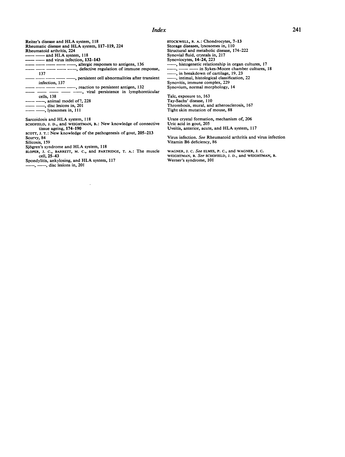### **Index**

Reiter's disease and HLA system, <sup>118</sup> Rheumatic disease and HLA system, 117-119, <sup>224</sup> Rheumatoid arthritis, 224

- **and HLA** system, 118
- and virus infection, 132–143
- - - , allergic responses to antigens, 136
- , defective regulation of immune response, 137
- -\_\_\_\_\_\_\_ , persistent cell abnormalities after transient infection, 137
- -, reaction to persistent antigen, 132 ------------------------, reaction to persistent antigen, 132<br>---------------------------, viral persistence in lymphoreticular

cells, 138

- -, animal model of?, 228
- , disc lesions in, 201
- lysosomes in, 111

Sarcoidosis and HLA system, <sup>118</sup>

- SCHOFIELD, J. D., and WEIGHTMAN, B.: New knowledge of connective tissue ageing, 174-190
- scorr, J. T.: New knowledge of the pathogenesis of gout, 205-213
- Scurvy, 84 Silicosis, 159

Sjogren's syndrome and HLA system, <sup>118</sup>

SLOPER, J. C., BARRETr, M. C., and PARTRIDGE, T. A.: The muscle cell, 25-43

Spondylitis, ankylosing, and HLA system, <sup>117</sup>

 $-$ ,  $-$ , disc lesions in, 201

STOCKWELL, R. A.: Chondrocytes, 7-13 Storage diseases, lysosomes in, 110 Structural and metabolic disease, 174-222 Synovial fluid, crystals in, 217 Synoviocytes, 14–24, 223  $\frac{1}{2}$ , histogenetic relationship in organ cultures, 17<br>  $\frac{1}{2}$ , in Sykes-Moore chamber cultures, 18 -, in breakdown of cartilage, 19, <sup>23</sup> -, intimal, histological classification, <sup>22</sup> Synovitis, immune complex, 229 Synovium, normal morphology, 14

Talc, exposure to, 163 Tay-Sachs' disease, 110 Thrombosis, mural, and atherosclerosis, 167 Tight skin mutation of mouse, 88

Urate crystal formation, mechanism of, 206 Uric acid in gout, 205 Uveitis, anterior, acute, and HLA system, <sup>117</sup>

Virus infection. See Rheumatoid arthritis and virus infection Vitamin B6 deficiency, 86

WAGNER, J. C. See ELMES, P. C., and WAGNER, J. C. WEIGHTMAN, B. See SCHOFIELD, J. D., and WEIGHTMAN, B. Werner's syndrome, 101